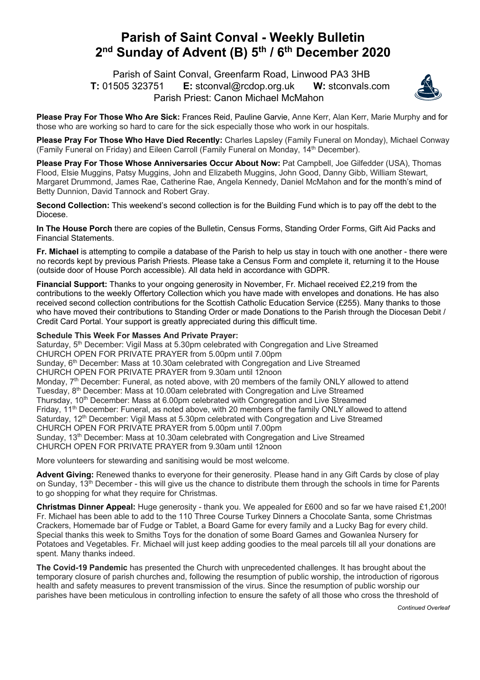## **Parish of Saint Conval - Weekly Bulletin 2nd Sunday of Advent (B) 5th / 6th December 2020**

 Parish of Saint Conval, Greenfarm Road, Linwood PA3 3HB **T:** 01505 323751 **E:** stconval@rcdop.org.uk **W:** stconvals.com Parish Priest: Canon Michael McMahon



**Please Pray For Those Who Are Sick:** Frances Reid, Pauline Garvie, Anne Kerr, Alan Kerr, Marie Murphy and for those who are working so hard to care for the sick especially those who work in our hospitals.

**Please Pray For Those Who Have Died Recently:** Charles Lapsley (Family Funeral on Monday), Michael Conway (Family Funeral on Friday) and Eileen Carroll (Family Funeral on Monday, 14<sup>th</sup> December).

**Please Pray For Those Whose Anniversaries Occur About Now:** Pat Campbell, Joe Gilfedder (USA), Thomas Flood, Elsie Muggins, Patsy Muggins, John and Elizabeth Muggins, John Good, Danny Gibb, William Stewart, Margaret Drummond, James Rae, Catherine Rae, Angela Kennedy, Daniel McMahon and for the month's mind of Betty Dunnion, David Tannock and Robert Gray.

**Second Collection:** This weekend's second collection is for the Building Fund which is to pay off the debt to the Diocese.

**In The House Porch** there are copies of the Bulletin, Census Forms, Standing Order Forms, Gift Aid Packs and Financial Statements.

**Fr. Michael** is attempting to compile a database of the Parish to help us stay in touch with one another - there were no records kept by previous Parish Priests. Please take a Census Form and complete it, returning it to the House (outside door of House Porch accessible). All data held in accordance with GDPR.

**Financial Support:** Thanks to your ongoing generosity in November, Fr. Michael received £2,219 from the contributions to the weekly Offertory Collection which you have made with envelopes and donations. He has also received second collection contributions for the Scottish Catholic Education Service (£255). Many thanks to those who have moved their contributions to Standing Order or made Donations to the Parish through the Diocesan Debit / Credit Card Portal. Your support is greatly appreciated during this difficult time.

**Schedule This Week For Masses And Private Prayer:** 

Saturday, 5<sup>th</sup> December: Vigil Mass at 5.30pm celebrated with Congregation and Live Streamed CHURCH OPEN FOR PRIVATE PRAYER from 5.00pm until 7.00pm Sunday, 6<sup>th</sup> December: Mass at 10.30am celebrated with Congregation and Live Streamed CHURCH OPEN FOR PRIVATE PRAYER from 9.30am until 12noon Monday, 7<sup>th</sup> December: Funeral, as noted above, with 20 members of the family ONLY allowed to attend Tuesday, 8th December: Mass at 10.00am celebrated with Congregation and Live Streamed Thursday, 10<sup>th</sup> December: Mass at 6.00pm celebrated with Congregation and Live Streamed Friday, 11<sup>th</sup> December: Funeral, as noted above, with 20 members of the family ONLY allowed to attend Saturday, 12<sup>th</sup> December: Vigil Mass at 5.30pm celebrated with Congregation and Live Streamed CHURCH OPEN FOR PRIVATE PRAYER from 5.00pm until 7.00pm Sunday, 13<sup>th</sup> December: Mass at 10.30am celebrated with Congregation and Live Streamed CHURCH OPEN FOR PRIVATE PRAYER from 9.30am until 12noon

More volunteers for stewarding and sanitising would be most welcome.

**Advent Giving:** Renewed thanks to everyone for their generosity. Please hand in any Gift Cards by close of play on Sunday, 13<sup>th</sup> December - this will give us the chance to distribute them through the schools in time for Parents to go shopping for what they require for Christmas.

**Christmas Dinner Appeal:** Huge generosity - thank you. We appealed for £600 and so far we have raised £1,200! Fr. Michael has been able to add to the 110 Three Course Turkey Dinners a Chocolate Santa, some Christmas Crackers, Homemade bar of Fudge or Tablet, a Board Game for every family and a Lucky Bag for every child. Special thanks this week to Smiths Toys for the donation of some Board Games and Gowanlea Nursery for Potatoes and Vegetables. Fr. Michael will just keep adding goodies to the meal parcels till all your donations are spent. Many thanks indeed.

**The Covid-19 Pandemic** has presented the Church with unprecedented challenges. It has brought about the temporary closure of parish churches and, following the resumption of public worship, the introduction of rigorous health and safety measures to prevent transmission of the virus. Since the resumption of public worship our parishes have been meticulous in controlling infection to ensure the safety of all those who cross the threshold of

*Continued Overleaf*